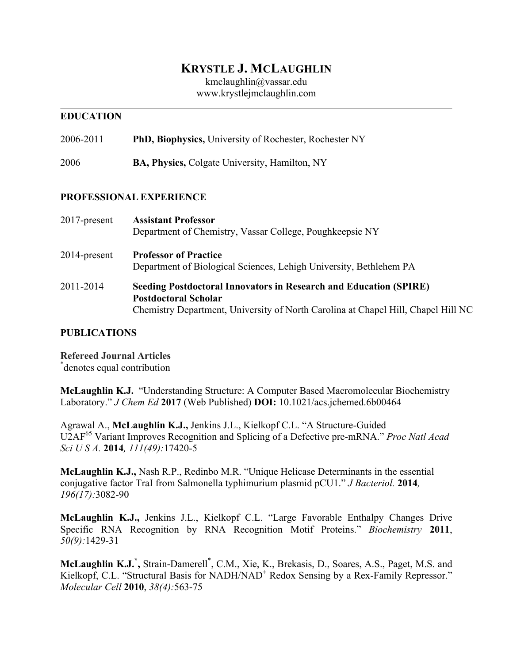# **KRYSTLE J. MCLAUGHLIN**

kmclaughlin@vassar.edu www.krystlejmclaughlin.com

#### **EDUCATION**

2006-2011 **PhD, Biophysics,** University of Rochester, Rochester NY

2006 **BA, Physics,** Colgate University, Hamilton, NY

#### **PROFESSIONAL EXPERIENCE**

| 2017-present | <b>Assistant Professor</b><br>Department of Chemistry, Vassar College, Poughkeepsie NY                                                                                                       |
|--------------|----------------------------------------------------------------------------------------------------------------------------------------------------------------------------------------------|
| 2014-present | <b>Professor of Practice</b><br>Department of Biological Sciences, Lehigh University, Bethlehem PA                                                                                           |
| 2011-2014    | <b>Seeding Postdoctoral Innovators in Research and Education (SPIRE)</b><br><b>Postdoctoral Scholar</b><br>Chemistry Department, University of North Carolina at Chapel Hill, Chapel Hill NC |

### **PUBLICATIONS**

**Refereed Journal Articles** \* denotes equal contribution

**McLaughlin K.J.** "Understanding Structure: A Computer Based Macromolecular Biochemistry Laboratory." *J Chem Ed* **2017** (Web Published) **DOI:** 10.1021/acs.jchemed.6b00464

Agrawal A., **McLaughlin K.J.,** Jenkins J.L., Kielkopf C.L. "A Structure-Guided U2AF<sup>65</sup> Variant Improves Recognition and Splicing of a Defective pre-mRNA." *Proc Natl Acad Sci U S A.* **2014***, 111(49):*17420-5

**McLaughlin K.J.,** Nash R.P., Redinbo M.R. "Unique Helicase Determinants in the essential conjugative factor TraI from Salmonella typhimurium plasmid pCU1." *J Bacteriol.* **2014***, 196(17):*3082-90

**McLaughlin K.J.,** Jenkins J.L., Kielkopf C.L. "Large Favorable Enthalpy Changes Drive Specific RNA Recognition by RNA Recognition Motif Proteins." *Biochemistry* **2011**, *50(9):*1429-31

**McLaughlin K.J.\* ,** Strain-Damerell\* , C.M., Xie, K., Brekasis, D., Soares, A.S., Paget, M.S. and Kielkopf, C.L. "Structural Basis for NADH/NAD<sup>+</sup> Redox Sensing by a Rex-Family Repressor." *Molecular Cell* **2010**, *38(4):*563-75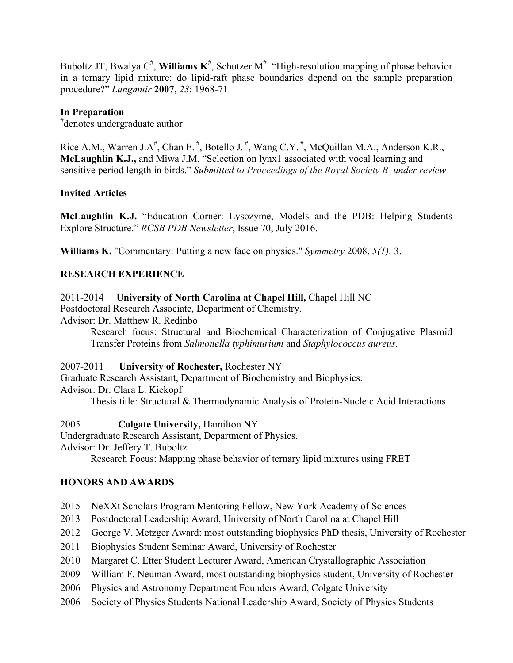Buboltz JT, Bwalya  $C^{\#}$ , Williams  $K^{\#}$ , Schutzer M<sup>#</sup>. "High-resolution mapping of phase behavior in a ternary lipid mixture: do lipid-raft phase boundaries depend on the sample preparation procedure?" *Langmuir* **2007**, *23*: 1968-71

## **In Preparation**

# denotes undergraduate author

Rice A.M., Warren J.A<sup>#</sup>, Chan E.<sup>#</sup>, Botello J.<sup>#</sup>, Wang C.Y.<sup>#</sup>, McQuillan M.A., Anderson K.R., **McLaughlin K.J.,** and Miwa J.M. "Selection on lynx1 associated with vocal learning and sensitive period length in birds." *Submitted to Proceedings of the Royal Society B–under review*

### **Invited Articles**

**McLaughlin K.J.** "Education Corner: Lysozyme, Models and the PDB: Helping Students Explore Structure." *RCSB PDB Newsletter*, Issue 70, July 2016.

**Williams K.** "Commentary: Putting a new face on physics." *Symmetry* 2008, *5(1),* 3.

### **RESEARCH EXPERIENCE**

2011-2014 **University of North Carolina at Chapel Hill,** Chapel Hill NC

Postdoctoral Research Associate, Department of Chemistry.

Advisor: Dr. Matthew R. Redinbo

Research focus: Structural and Biochemical Characterization of Conjugative Plasmid Transfer Proteins from *Salmonella typhimurium* and *Staphylococcus aureus.*

#### 2007-2011 **University of Rochester,** Rochester NY

Graduate Research Assistant, Department of Biochemistry and Biophysics. Advisor: Dr. Clara L. Kiekopf Thesis title: Structural & Thermodynamic Analysis of Protein-Nucleic Acid Interactions

2005 **Colgate University,** Hamilton NY

Undergraduate Research Assistant, Department of Physics.

Advisor: Dr. Jeffery T. Buboltz

Research Focus: Mapping phase behavior of ternary lipid mixtures using FRET

### **HONORS AND AWARDS**

- 2015 NeXXt Scholars Program Mentoring Fellow, New York Academy of Sciences
- 2013 Postdoctoral Leadership Award, University of North Carolina at Chapel Hill
- 2012 George V. Metzger Award: most outstanding biophysics PhD thesis, University of Rochester
- 2011 Biophysics Student Seminar Award, University of Rochester
- 2010 Margaret C. Etter Student Lecturer Award, American Crystallographic Association
- 2009 William F. Neuman Award, most outstanding biophysics student, University of Rochester
- 2006 Physics and Astronomy Department Founders Award, Colgate University
- 2006 Society of Physics Students National Leadership Award, Society of Physics Students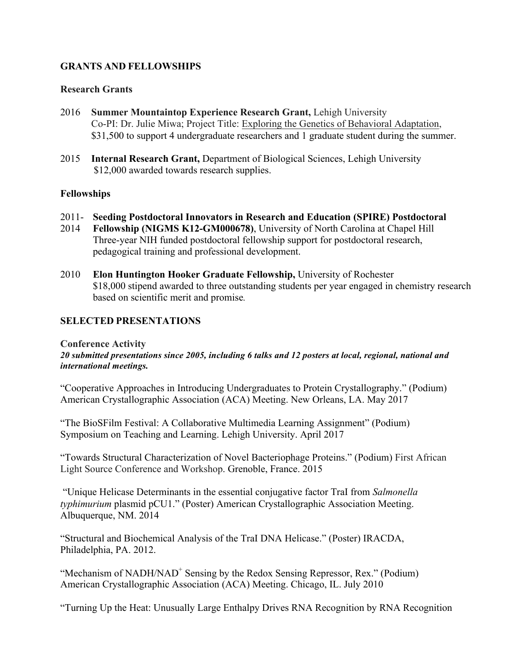### **GRANTS AND FELLOWSHIPS**

#### **Research Grants**

- 2016 **Summer Mountaintop Experience Research Grant,** Lehigh University Co-PI: Dr. Julie Miwa; Project Title: Exploring the Genetics of Behavioral Adaptation, \$31,500 to support 4 undergraduate researchers and 1 graduate student during the summer.
- 2015 **Internal Research Grant,** Department of Biological Sciences, Lehigh University \$12,000 awarded towards research supplies.

#### **Fellowships**

- 2011- **Seeding Postdoctoral Innovators in Research and Education (SPIRE) Postdoctoral**
- 2014 **Fellowship (NIGMS K12-GM000678)**, University of North Carolina at Chapel Hill Three-year NIH funded postdoctoral fellowship support for postdoctoral research, pedagogical training and professional development.
- 2010 **Elon Huntington Hooker Graduate Fellowship,** University of Rochester \$18,000 stipend awarded to three outstanding students per year engaged in chemistry research based on scientific merit and promise*.*

### **SELECTED PRESENTATIONS**

#### **Conference Activity**

*20 submitted presentations since 2005, including 6 talks and 12 posters at local, regional, national and international meetings.*

"Cooperative Approaches in Introducing Undergraduates to Protein Crystallography." (Podium) American Crystallographic Association (ACA) Meeting. New Orleans, LA. May 2017

"The BioSFilm Festival: A Collaborative Multimedia Learning Assignment" (Podium) Symposium on Teaching and Learning. Lehigh University. April 2017

"Towards Structural Characterization of Novel Bacteriophage Proteins." (Podium) First African Light Source Conference and Workshop. Grenoble, France. 2015

"Unique Helicase Determinants in the essential conjugative factor TraI from *Salmonella typhimurium* plasmid pCU1." (Poster) American Crystallographic Association Meeting. Albuquerque, NM. 2014

"Structural and Biochemical Analysis of the TraI DNA Helicase." (Poster) IRACDA, Philadelphia, PA. 2012.

"Mechanism of NADH/NAD<sup>+</sup> Sensing by the Redox Sensing Repressor, Rex." (Podium) American Crystallographic Association (ACA) Meeting. Chicago, IL. July 2010

"Turning Up the Heat: Unusually Large Enthalpy Drives RNA Recognition by RNA Recognition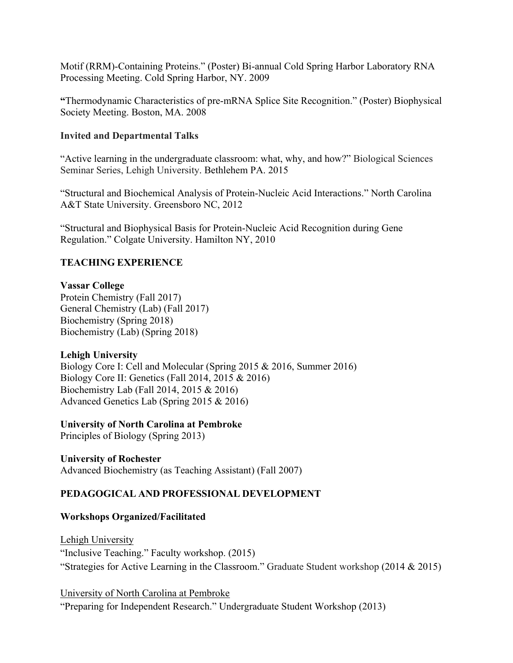Motif (RRM)-Containing Proteins." (Poster) Bi-annual Cold Spring Harbor Laboratory RNA Processing Meeting. Cold Spring Harbor, NY. 2009

**"**Thermodynamic Characteristics of pre-mRNA Splice Site Recognition." (Poster) Biophysical Society Meeting. Boston, MA. 2008

#### **Invited and Departmental Talks**

"Active learning in the undergraduate classroom: what, why, and how?" Biological Sciences Seminar Series, Lehigh University. Bethlehem PA. 2015

"Structural and Biochemical Analysis of Protein-Nucleic Acid Interactions." North Carolina A&T State University. Greensboro NC, 2012

"Structural and Biophysical Basis for Protein-Nucleic Acid Recognition during Gene Regulation." Colgate University. Hamilton NY, 2010

### **TEACHING EXPERIENCE**

### **Vassar College**

Protein Chemistry (Fall 2017) General Chemistry (Lab) (Fall 2017) Biochemistry (Spring 2018) Biochemistry (Lab) (Spring 2018)

### **Lehigh University**

Biology Core I: Cell and Molecular (Spring 2015 & 2016, Summer 2016) Biology Core II: Genetics (Fall 2014, 2015 & 2016) Biochemistry Lab (Fall 2014, 2015 & 2016) Advanced Genetics Lab (Spring 2015 & 2016)

### **University of North Carolina at Pembroke**

Principles of Biology (Spring 2013)

### **University of Rochester**

Advanced Biochemistry (as Teaching Assistant) (Fall 2007)

### **PEDAGOGICAL AND PROFESSIONAL DEVELOPMENT**

### **Workshops Organized/Facilitated**

Lehigh University "Inclusive Teaching." Faculty workshop. (2015) "Strategies for Active Learning in the Classroom." Graduate Student workshop (2014 & 2015)

University of North Carolina at Pembroke

"Preparing for Independent Research." Undergraduate Student Workshop (2013)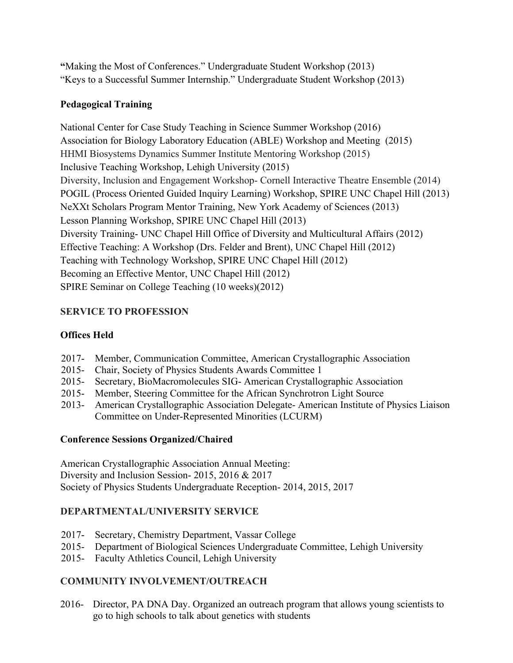**"**Making the Most of Conferences." Undergraduate Student Workshop (2013) "Keys to a Successful Summer Internship." Undergraduate Student Workshop (2013)

## **Pedagogical Training**

National Center for Case Study Teaching in Science Summer Workshop (2016) Association for Biology Laboratory Education (ABLE) Workshop and Meeting (2015) HHMI Biosystems Dynamics Summer Institute Mentoring Workshop (2015) Inclusive Teaching Workshop, Lehigh University (2015) Diversity, Inclusion and Engagement Workshop- Cornell Interactive Theatre Ensemble (2014) POGIL (Process Oriented Guided Inquiry Learning) Workshop, SPIRE UNC Chapel Hill (2013) NeXXt Scholars Program Mentor Training, New York Academy of Sciences (2013) Lesson Planning Workshop, SPIRE UNC Chapel Hill (2013) Diversity Training- UNC Chapel Hill Office of Diversity and Multicultural Affairs (2012) Effective Teaching: A Workshop (Drs. Felder and Brent), UNC Chapel Hill (2012) Teaching with Technology Workshop, SPIRE UNC Chapel Hill (2012) Becoming an Effective Mentor, UNC Chapel Hill (2012) SPIRE Seminar on College Teaching (10 weeks)(2012)

# **SERVICE TO PROFESSION**

# **Offices Held**

- 2017- Member, Communication Committee, American Crystallographic Association
- 2015- Chair, Society of Physics Students Awards Committee 1
- 2015- Secretary, BioMacromolecules SIG- American Crystallographic Association
- 2015- Member, Steering Committee for the African Synchrotron Light Source
- 2013- American Crystallographic Association Delegate- American Institute of Physics Liaison Committee on Under-Represented Minorities (LCURM)

# **Conference Sessions Organized/Chaired**

American Crystallographic Association Annual Meeting: Diversity and Inclusion Session- 2015, 2016 & 2017 Society of Physics Students Undergraduate Reception- 2014, 2015, 2017

# **DEPARTMENTAL/UNIVERSITY SERVICE**

- 2017- Secretary, Chemistry Department, Vassar College
- 2015- Department of Biological Sciences Undergraduate Committee, Lehigh University
- 2015- Faculty Athletics Council, Lehigh University

# **COMMUNITY INVOLVEMENT/OUTREACH**

2016- Director, PA DNA Day. Organized an outreach program that allows young scientists to go to high schools to talk about genetics with students